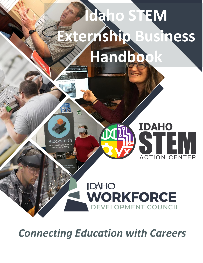# **Idaho STEM Externship Business Handbook**

Blocksmith

**00**

## **IDAHO WORKFORCE** DEVELOPMENT COUNCIL

**IDAHO** 

STEM

**ACTION CENTER** 

*Connecting Education with Careers*

**TM**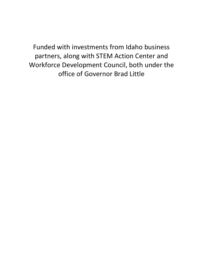Funded with investments from Idaho business partners, along with STEM Action Center and Workforce Development Council, both under the office of Governor Brad Little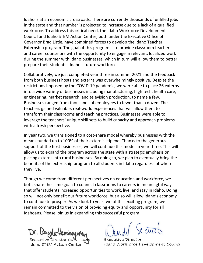Idaho is at an economic crossroads. There are currently thousands of unfilled jobs in the state and that number is projected to increase due to a lack of a qualified workforce. To address this critical need, the Idaho Workforce Development Council and Idaho STEM Action Center, both under the Executive Office of Governor Brad Little, have combined forces to develop the Idaho Teacher Externship program. The goal of this program is to provide classroom teachers and career counselors with the opportunity to engage in relevant, localized work during the summer with Idaho businesses, which in turn will allow them to better prepare their students - Idaho's future workforce.

Collaboratively, we just completed year three in summer 2021 and the feedback from both business hosts and externs was overwhelmingly positive. Despite the restrictions imposed by the COVID-19 pandemic, we were able to place 26 externs into a wide variety of businesses including manufacturing, high tech, health care, engineering, market research, and television production, to name a few. Businesses ranged from thousands of employees to fewer than a dozen. The teachers gained valuable, real-world experiences that will allow them to transform their classrooms and teaching practices. Businesses were able to leverage the teachers' unique skill sets to build capacity and approach problems with a fresh perspective.

In year two, we transitioned to a cost-share model whereby businesses with the means funded up to 100% of their extern's stipend. Thanks to the generous support of the host businesses, we will continue this model in year three. This will allow us to expand the program across the state with a strategic emphasis on placing externs into rural businesses. By doing so, we plan to eventually bring the benefits of the externship program to all students in Idaho regardless of where they live.

Though we come from different perspectives on education and workforce, we both share the same goal: to connect classrooms to careers in meaningful ways that offer students increased opportunities to work, live, and stay in Idaho. Doing so will not only benefit our future workforce, but also will allow Idaho's economy to continue to prosper. As we look to year two of this exciting program, we remain committed to the vision of providing equity and opportunity for all Idahoans. Please join us in expanding this successful program!

Executive Director (2015 – 2020) Idaho STEM Action Cent

Executive Director Idaho Workforce Development Council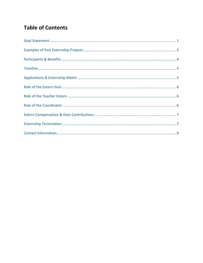### **Table of Contents**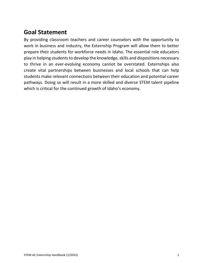## **Goal Statement**

By providing classroom teachers and career counselors with the opportunity to work in business and industry, the Externship Program will allow them to better prepare their students for workforce needs in Idaho. The essential role educators play in helping students to develop the knowledge, skills and dispositions necessary to thrive in an ever-evolving economy cannot be overstated. Externships also create vital partnerships between businesses and local schools that can help students make relevant connections between their education and potential career pathways. Doing so will result in a more skilled and diverse STEM talent pipeline which is critical for the continued growth of Idaho's economy.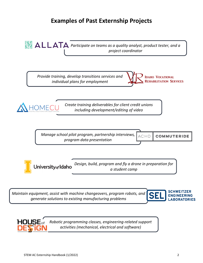## **Examples of Past Externship Projects**

<span id="page-5-0"></span>*RM*  $\triangle$  **L L ATA** Participate on teams as a quality analyst, product tester, and a *project coordinator*

*Provide training, develop transitions services and individual plans for employment*





*Create training deliverables for client credit unions including development/editing of video*

*Manage school pilot program, partnership interviews, program data presentation*

**ACHD COMMUTERIDE** 

*Design, build, program and fly a drone in preparation for* University<sub>of</sub> Idaho *a student camp*

*Maintain equipment, assist with machine changeovers, program robots, and generate solutions to existing manufacturing problems*





*Robotic programming classes, engineering-related support activities (mechanical, electrical and software)*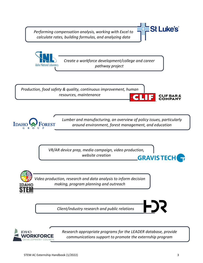*Performing compensation analysis, working with Excel to calculate rates, building formulas, and analyzing data*







*Lumber and manufacturing, an overview of policy issues, particularly around environment, forest management, and education*

*VR/AR device prep, media campaign, video production, website creation* **GRAVISTECH** 



*Client/industry research and public relations*



*Research appropriate programs for the LEADER database, provide communications support to promote the externship program*

**St Luke's** 

**IF BAR**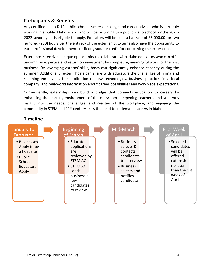#### <span id="page-7-0"></span>**Participants & Benefits**

Any certified Idaho K-12 public school teacher or college and career advisor who is currently working in a public Idaho school and will be returning to a public Idaho school for the 2021- 2022 school year is eligible to apply. Educators will be paid a flat rate of \$5,000.00 for two hundred (200) hours per the entirety of the externship. Externs also have the opportunity to earn professional development credit or graduate credit for completing the experience.

Extern hosts receive a unique opportunity to collaborate with Idaho educators who can offer uncommon expertise and return on investment by completing meaningful work for the host business. By leveraging externs' skills, hosts can significantly enhance capacity during the summer. Additionally, extern hosts can share with educators the challenges of hiring and retaining employees, the application of new technologies, business practices in a local company, and real-world information about career possibilities and workplace expectations.

Consequently, externships can build a bridge that connects education to careers by enhancing the learning environment of the classroom, deepening teacher's and student's insight into the needs, challenges, and realities of the workplace, and engaging the community in STEM and  $21^{st}$ -century skills that lead to in-demand careers in Idaho.

#### <span id="page-7-1"></span>**Timeline**

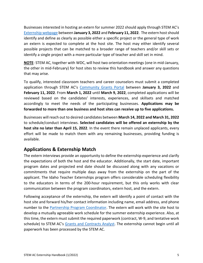Businesses interested in hosting an extern for summer 2022 should apply through STEM AC's [Externship](https://stem.idaho.gov/apply/stem-externships/) webpage between **January 3, 2022** and **February 11, 2022**. The extern hostshould identify and define as clearly as possible either a specific project or the general type of work an extern is expected to complete at the host site. The host may either identify several possible projects that can be matched to a broader range of teachers and/or skill sets or identify a single project with a more particular type of teacher and skill set in mind.

**NOTE**: STEM AC, together with WDC, will host two orientation meetings (one in mid-January, the other in mid-February) for host sites to review this handbook and answer any questions that may arise.

To qualify, interested classroom teachers and career counselors must submit a completed application through STEM AC's [Community](https://idahostem.force.com/gms/) Grants Portal between **January 3, 2022** and **February 11, 2022**. From **March 1, 2022** until **March 9, 2022**, completed applications will be reviewed based on the candidates' interests, experiences, and skillsets and matched accordingly to meet the needs of the participating businesses. **Applications may be forwarded to more than one business and host sites can receive up to five applications.**

Businesses will reach out to desired candidates between **March 14, 2022 and March 31, 2022** to schedule/conduct interviews. **Selected candidates will be offered an externship by the host site no later than April 15, 2022**. In the event there remain unplaced applicants, every effort will be made to match them with any remaining businesses, providing funding is available.

#### <span id="page-8-0"></span>**Applications & Externship Match**

The extern interviews provide an opportunity to define the externship experience and clarify the expectations of both the host and the educator. Additionally, the start date, important program dates and projected end date should be discussed along with any vacations or commitments that require multiple days away from the externship on the part of the applicant. The Idaho Teacher Externships program offers considerable scheduling flexibility to the educators in terms of the 200-hour requirement, but this only works with clear communication between the program coordinators, extern host, and the extern.

Following acceptance of the externship, the extern will identify a point of contact with the host site and forward his/her contact information including name, email address, and phone number to the Partnership Program [Coordinator.](mailto:partnerships@stem.idaho.gov) The extern will work with the site host to develop a mutually agreeable work schedule for the summer externship experience. Also, at this time, the extern must submit the required paperwork (contract, W-9, and tentative work schedule) to STEM AC's Grants and [Contracts](mailto:stephanie.lee@stem.idaho.gov) Analyst. The externship cannot begin until all paperwork has been processed by the STEM AC.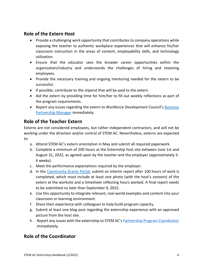#### <span id="page-9-1"></span><span id="page-9-0"></span>**Role of the Extern Host**

- Provide a challenging work opportunity that contributes to company operations while exposing the teacher to authentic workplace experiences that will enhance his/her classroom instruction in the areas of content, employability skills, and technology utilization.
- Ensure that the educator sees the broader career opportunities within the organization/industry and understands the challenges of hiring and retaining employees.
- Provide the necessary training and ongoing mentoring needed for the extern to be successful.
- If possible, contribute to the stipend that will be paid to the extern.
- Aid the extern by providing time for him/her to fill out weekly reflections as part of the program requirements.
- Report any issues regarding the extern to Workforce Development Council's [Business](mailto:matthew.thomsen@wdc.idaho.gov) [Partnership](mailto:matthew.thomsen@wdc.idaho.gov) Manager immediately.

#### **Role of the Teacher Extern**

Externs are not considered employees, but rather independent contractors, and will not be working under the direction and/or control of STEM AC. Nevertheless, externs are expected to:

- a. Attend STEM AC's extern orientation in May and submit all required paperwork.
- b. Complete a minimum of 200 hours at the Externship host site between June 1st and August 31, 2022, as agreed upon by the teacher and the employer (approximately 5- 6 weeks).
- c. Meet the performance expectations required by the employer.
- d. In the [Community](https://idahostem.force.com/gms/) Grants Portal, submit an interim report after 100 hours of work is completed, which must include at least one photo (with the host's consent) of the extern at the worksite and a timesheet reflecting hours worked. A final report needs to be submitted no later than September 9, 2022.
- e. Use this opportunity to integrate relevant, real-world examples and content into your classroom or learning environment.
- f. Share their experience with colleagues to help build program capacity.
- g. Submit at least one blog post regarding the externship experience with an approved picture from the host site.
- h. Report any issues with the externship to STEM AC's Partnership Program [Coordinator](mailto:partnerships@stem.idaho.gov) immediately.

#### <span id="page-9-2"></span>**Role of the Coordinator**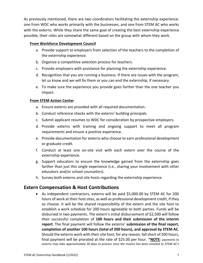As previously mentioned, there are two coordinators facilitating the externship experience: one from WDC who works primarily with the businesses, and one from STEM AC who works with the externs. While they share the same goal of creating the best externship experience possible, their roles are somewhat different based on the group with whom they work.

#### **From Workforce Development Council**

- a. Provide support to employers from selection of the teachers to the completion of the externship experience.
- b. Organize a competitive selection process for teachers.
- c. Provide employers with assistance for planning the externship experience.
- d. Recognition that you are running a business. If there are issues with the program, let us know and we will fix them or you can end the externship, if necessary.
- e. To make sure the experience you provide goes farther than the one teacher you impact.

#### **From STEM Action Center**

- a. Ensure externs are provided with all required documentation.
- b. Conduct reference checks with the externs' building principals.
- c. Submit applicant resumes to WDC for consideration by prospective employers.
- d. Provide externs with training and ongoing support to meet all program requirements and ensure a positive experience.
- e. Provide documentation for externs who choose to earn professional development or graduate credit.
- f. Conduct at least one on-site visit with each extern over the course of the externship experience.
- g. Support educators to ensure the knowledge gained from the externship goes farther than just this single experience (i.e., sharing your involvement with other educators and/or school counselors).
- h. Survey both externs and site hosts regarding the externship experience.

#### <span id="page-10-0"></span>**Extern Compensation & Host Contributions**

• As independent contractors, externs will be paid \$5,000.00 by STEM AC for 200 hours of work at their host sites, as well as professional development credit, if they so choose. It will be the shared responsibility of the extern and the site host to establish a work schedule for 200 hours agreeable to both parties. Funds will be disbursed in two payments. The extern's initial disbursement of \$2,500 will follow their successful completion of **100 hours and their submission of the interim report**. The final payment will follow the externs' **submission of the final report, completion of another 100 hours (total of 200 hours), and approval by STEM AC**. Should the externs work with their site host, for any reason, fall short of 200 hours, final payment will be prorated at the rate of \$25.00 per hour. \***NOTE**: *payments to externs may take approximately 30 days to process once the invoice has been emailed to STEM AC's*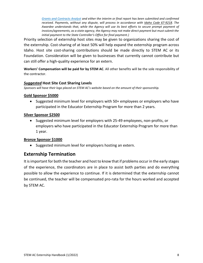*[Grants and Contracts Analyst](mailto:stephanie.lee@stem.idaho.gov) and either the interim or final report has been submitted and confirmed received. Payments, without any dispute, will process in accordance with [Idaho Code 67-9218.](https://protect-us.mimecast.com/s/dFz-CkRLj7fq4785cNOg58?domain=legislature.idaho.gov) The Awardee understands that, while the Agency will use its best efforts to secure prompt payment of invoices/agreements, as a state agency, the Agency may not make direct payment but must submit the initial payment to the State Controller's Office for final payment.)*

Priority selection of externship host sites may be given to organizations sharing the cost of the externship. Cost-sharing of at least 50% will help expand the externship program across Idaho. Host site cost-sharing contributions should be made directly to STEM AC or its Foundation. Consideration will be given to businesses that currently cannot contribute but can still offer a high-quality experience for an extern.

**Workers' Compensation will be paid for by STEM AC**. All other benefits will be the sole responsibility of the contractor.

#### *Suggested* **Host Site Cost Sharing Levels**

*Sponsors will have their logo placed on STEM AC's website based on the amount of their sponsorship.*

#### **Gold Sponsor \$5000**

• Suggested minimum level for employers with 50+ employees or employers who have participated in the Educator Externship Program for more than 2 years.

#### **Silver Sponsor \$2500**

• Suggested minimum level for employers with 25-49 employees, non-profits, or employers who have participated in the Educator Externship Program for more than 1 year.

#### **Bronze Sponsor \$1000**

• Suggested minimum level for employers hosting an extern.

#### <span id="page-11-0"></span>**Externship Termination**

It isimportant for both the teacher and host to know that if problems occur in the early stages of the experience, the coordinators are in place to assist both parties and do everything possible to allow the experience to continue. If it is determined that the externship cannot be continued, the teacher will be compensated pro-rata for the hours worked and accepted by STEM AC.